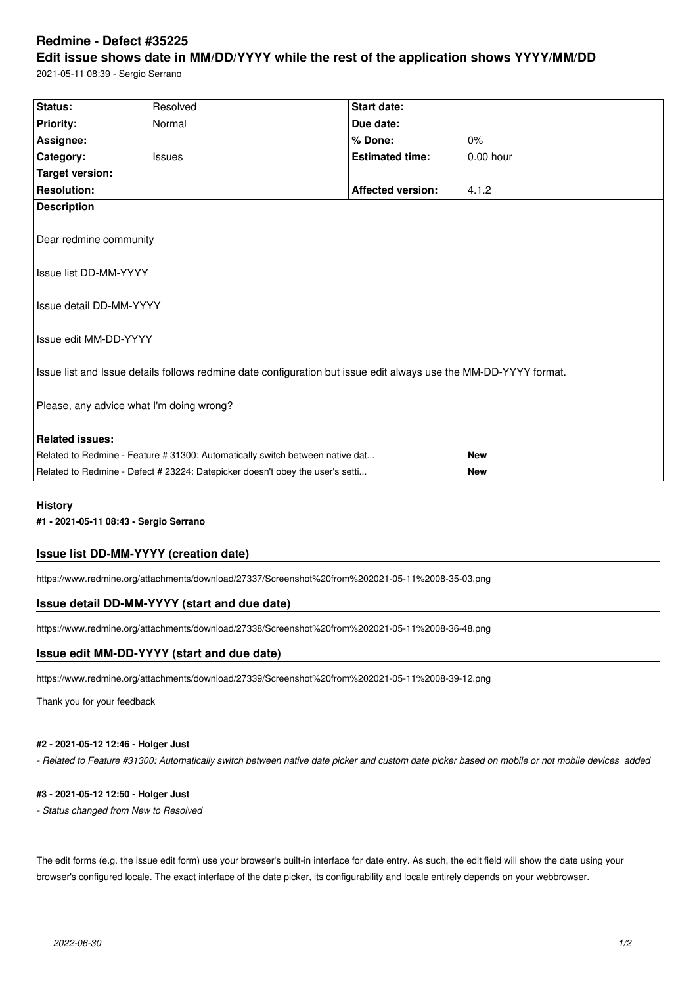# **Redmine - Defect #35225**

# **Edit issue shows date in MM/DD/YYYY while the rest of the application shows YYYY/MM/DD**

2021-05-11 08:39 - Sergio Serrano

| Status:                                                                                                          | Resolved      | <b>Start date:</b>       |             |  |  |
|------------------------------------------------------------------------------------------------------------------|---------------|--------------------------|-------------|--|--|
| <b>Priority:</b>                                                                                                 | Normal        | Due date:                |             |  |  |
| Assignee:                                                                                                        |               | % Done:                  | 0%          |  |  |
| Category:                                                                                                        | <b>Issues</b> | <b>Estimated time:</b>   | $0.00$ hour |  |  |
| <b>Target version:</b>                                                                                           |               |                          |             |  |  |
| <b>Resolution:</b>                                                                                               |               | <b>Affected version:</b> | 4.1.2       |  |  |
| <b>Description</b>                                                                                               |               |                          |             |  |  |
|                                                                                                                  |               |                          |             |  |  |
| Dear redmine community                                                                                           |               |                          |             |  |  |
|                                                                                                                  |               |                          |             |  |  |
| Issue list DD-MM-YYYY                                                                                            |               |                          |             |  |  |
|                                                                                                                  |               |                          |             |  |  |
| Issue detail DD-MM-YYYY                                                                                          |               |                          |             |  |  |
|                                                                                                                  |               |                          |             |  |  |
| Issue edit MM-DD-YYYY                                                                                            |               |                          |             |  |  |
|                                                                                                                  |               |                          |             |  |  |
| Issue list and Issue details follows redmine date configuration but issue edit always use the MM-DD-YYYY format. |               |                          |             |  |  |
|                                                                                                                  |               |                          |             |  |  |
| Please, any advice what I'm doing wrong?                                                                         |               |                          |             |  |  |
|                                                                                                                  |               |                          |             |  |  |
| <b>Related issues:</b>                                                                                           |               |                          |             |  |  |
| Related to Redmine - Feature # 31300: Automatically switch between native dat                                    |               |                          | <b>New</b>  |  |  |
| Related to Redmine - Defect # 23224: Datepicker doesn't obey the user's setti                                    |               |                          | <b>New</b>  |  |  |
|                                                                                                                  |               |                          |             |  |  |

#### **History**

**#1 - 2021-05-11 08:43 - Sergio Serrano**

### **Issue list DD-MM-YYYY (creation date)**

https://www.redmine.org/attachments/download/27337/Screenshot%20from%202021-05-11%2008-35-03.png

#### **Issue detail DD-MM-YYYY (start and due date)**

https://www.redmine.org/attachments/download/27338/Screenshot%20from%202021-05-11%2008-36-48.png

#### **Issue edit MM-DD-YYYY (start and due date)**

https://www.redmine.org/attachments/download/27339/Screenshot%20from%202021-05-11%2008-39-12.png

Thank you for your feedback

#### **#2 - 2021-05-12 12:46 - Holger Just**

*- Related to Feature #31300: Automatically switch between native date picker and custom date picker based on mobile or not mobile devices added*

#### **#3 - 2021-05-12 12:50 - Holger Just**

*- Status changed from New to Resolved*

The edit forms (e.g. the issue edit form) use your browser's built-in interface for date entry. As such, the edit field will show the date using your browser's configured locale. The exact interface of the date picker, its configurability and locale entirely depends on your webbrowser.